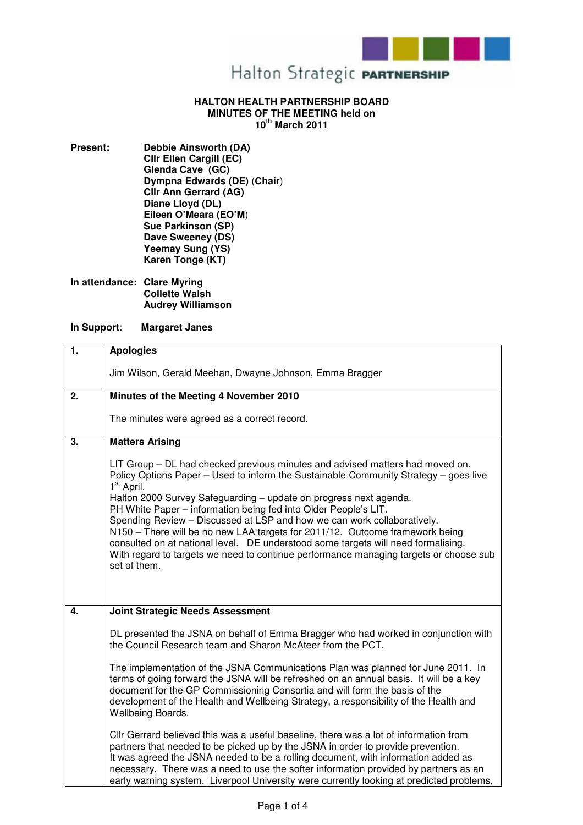

## **HALTON HEALTH PARTNERSHIP BOARD MINUTES OF THE MEETING held on 10th March 2011**

**Present: Debbie Ainsworth (DA) Cllr Ellen Cargill (EC) Glenda Cave (GC) Dympna Edwards (DE)** (**Chair**) **Cllr Ann Gerrard (AG) Diane Lloyd (DL) Eileen O'Meara (EO'M**) **Sue Parkinson (SP) Dave Sweeney (DS) Yeemay Sung (YS) Karen Tonge (KT)** 

**In attendance: Clare Myring Collette Walsh Audrey Williamson** 

## **In Support**: **Margaret Janes**

| $\overline{1}$ . | <b>Apologies</b>                                                                                                                                                                                                                                                                                                                                                                                                                                                                                                                                                                                                                                                                                  |
|------------------|---------------------------------------------------------------------------------------------------------------------------------------------------------------------------------------------------------------------------------------------------------------------------------------------------------------------------------------------------------------------------------------------------------------------------------------------------------------------------------------------------------------------------------------------------------------------------------------------------------------------------------------------------------------------------------------------------|
|                  | Jim Wilson, Gerald Meehan, Dwayne Johnson, Emma Bragger                                                                                                                                                                                                                                                                                                                                                                                                                                                                                                                                                                                                                                           |
| $\overline{2}$ . | Minutes of the Meeting 4 November 2010                                                                                                                                                                                                                                                                                                                                                                                                                                                                                                                                                                                                                                                            |
|                  | The minutes were agreed as a correct record.                                                                                                                                                                                                                                                                                                                                                                                                                                                                                                                                                                                                                                                      |
| 3.               | <b>Matters Arising</b>                                                                                                                                                                                                                                                                                                                                                                                                                                                                                                                                                                                                                                                                            |
|                  | LIT Group – DL had checked previous minutes and advised matters had moved on.<br>Policy Options Paper – Used to inform the Sustainable Community Strategy – goes live<br>1 <sup>st</sup> April.<br>Halton 2000 Survey Safeguarding - update on progress next agenda.<br>PH White Paper - information being fed into Older People's LIT.<br>Spending Review - Discussed at LSP and how we can work collaboratively.<br>N150 - There will be no new LAA targets for 2011/12. Outcome framework being<br>consulted on at national level.  DE understood some targets will need formalising.<br>With regard to targets we need to continue performance managing targets or choose sub<br>set of them. |
| 4.               | <b>Joint Strategic Needs Assessment</b>                                                                                                                                                                                                                                                                                                                                                                                                                                                                                                                                                                                                                                                           |
|                  | DL presented the JSNA on behalf of Emma Bragger who had worked in conjunction with<br>the Council Research team and Sharon McAteer from the PCT.                                                                                                                                                                                                                                                                                                                                                                                                                                                                                                                                                  |
|                  | The implementation of the JSNA Communications Plan was planned for June 2011. In<br>terms of going forward the JSNA will be refreshed on an annual basis. It will be a key<br>document for the GP Commissioning Consortia and will form the basis of the<br>development of the Health and Wellbeing Strategy, a responsibility of the Health and<br>Wellbeing Boards.                                                                                                                                                                                                                                                                                                                             |
|                  | Cllr Gerrard believed this was a useful baseline, there was a lot of information from<br>partners that needed to be picked up by the JSNA in order to provide prevention.<br>It was agreed the JSNA needed to be a rolling document, with information added as<br>necessary. There was a need to use the softer information provided by partners as an<br>early warning system. Liverpool University were currently looking at predicted problems,                                                                                                                                                                                                                                                |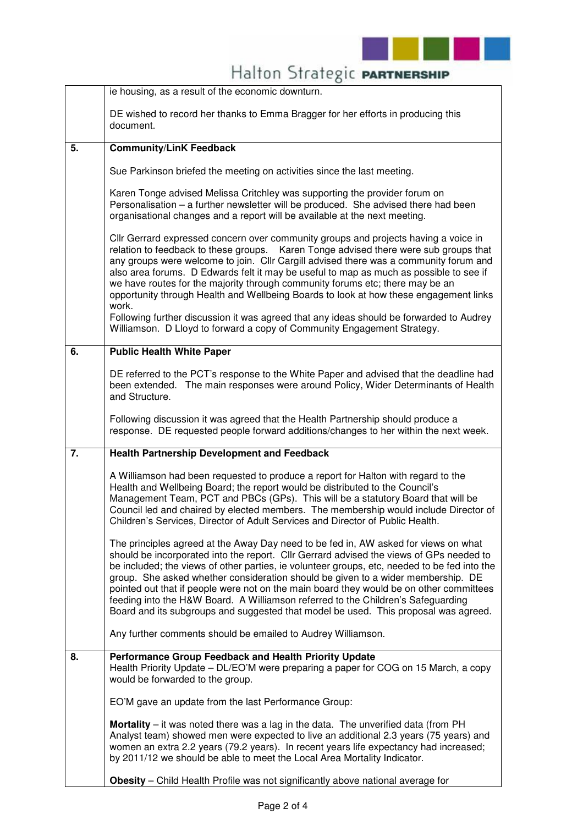

|    | Halton Strategic PARTNERSHIP                                                                                                                                                                                                                                                                                                                                                                                                                                                                                                                                                                                                             |
|----|------------------------------------------------------------------------------------------------------------------------------------------------------------------------------------------------------------------------------------------------------------------------------------------------------------------------------------------------------------------------------------------------------------------------------------------------------------------------------------------------------------------------------------------------------------------------------------------------------------------------------------------|
|    | ie housing, as a result of the economic downturn.                                                                                                                                                                                                                                                                                                                                                                                                                                                                                                                                                                                        |
|    | DE wished to record her thanks to Emma Bragger for her efforts in producing this<br>document.                                                                                                                                                                                                                                                                                                                                                                                                                                                                                                                                            |
| 5. | <b>Community/LinK Feedback</b>                                                                                                                                                                                                                                                                                                                                                                                                                                                                                                                                                                                                           |
|    | Sue Parkinson briefed the meeting on activities since the last meeting.                                                                                                                                                                                                                                                                                                                                                                                                                                                                                                                                                                  |
|    | Karen Tonge advised Melissa Critchley was supporting the provider forum on<br>Personalisation - a further newsletter will be produced. She advised there had been<br>organisational changes and a report will be available at the next meeting.                                                                                                                                                                                                                                                                                                                                                                                          |
|    | Cllr Gerrard expressed concern over community groups and projects having a voice in<br>relation to feedback to these groups. Karen Tonge advised there were sub groups that<br>any groups were welcome to join. Cllr Cargill advised there was a community forum and<br>also area forums. D Edwards felt it may be useful to map as much as possible to see if<br>we have routes for the majority through community forums etc; there may be an<br>opportunity through Health and Wellbeing Boards to look at how these engagement links<br>work.                                                                                        |
|    | Following further discussion it was agreed that any ideas should be forwarded to Audrey<br>Williamson. D Lloyd to forward a copy of Community Engagement Strategy.                                                                                                                                                                                                                                                                                                                                                                                                                                                                       |
| 6. | <b>Public Health White Paper</b>                                                                                                                                                                                                                                                                                                                                                                                                                                                                                                                                                                                                         |
|    | DE referred to the PCT's response to the White Paper and advised that the deadline had<br>been extended. The main responses were around Policy, Wider Determinants of Health<br>and Structure.                                                                                                                                                                                                                                                                                                                                                                                                                                           |
|    | Following discussion it was agreed that the Health Partnership should produce a<br>response. DE requested people forward additions/changes to her within the next week.                                                                                                                                                                                                                                                                                                                                                                                                                                                                  |
| 7. | <b>Health Partnership Development and Feedback</b>                                                                                                                                                                                                                                                                                                                                                                                                                                                                                                                                                                                       |
|    | A Williamson had been requested to produce a report for Halton with regard to the<br>Health and Wellbeing Board; the report would be distributed to the Council's<br>Management Team, PCT and PBCs (GPs). This will be a statutory Board that will be<br>Council led and chaired by elected members. The membership would include Director of<br>Children's Services, Director of Adult Services and Director of Public Health.                                                                                                                                                                                                          |
|    | The principles agreed at the Away Day need to be fed in, AW asked for views on what<br>should be incorporated into the report. Cllr Gerrard advised the views of GPs needed to<br>be included; the views of other parties, ie volunteer groups, etc, needed to be fed into the<br>group. She asked whether consideration should be given to a wider membership. DE<br>pointed out that if people were not on the main board they would be on other committees<br>feeding into the H&W Board. A Williamson referred to the Children's Safeguarding<br>Board and its subgroups and suggested that model be used. This proposal was agreed. |
|    | Any further comments should be emailed to Audrey Williamson.                                                                                                                                                                                                                                                                                                                                                                                                                                                                                                                                                                             |
| 8. | Performance Group Feedback and Health Priority Update<br>Health Priority Update – DL/EO'M were preparing a paper for COG on 15 March, a copy<br>would be forwarded to the group.                                                                                                                                                                                                                                                                                                                                                                                                                                                         |
|    | EO'M gave an update from the last Performance Group:                                                                                                                                                                                                                                                                                                                                                                                                                                                                                                                                                                                     |
|    | <b>Mortality</b> – it was noted there was a lag in the data. The unverified data (from PH<br>Analyst team) showed men were expected to live an additional 2.3 years (75 years) and<br>women an extra 2.2 years (79.2 years). In recent years life expectancy had increased;<br>by 2011/12 we should be able to meet the Local Area Mortality Indicator.                                                                                                                                                                                                                                                                                  |
|    | Obesity - Child Health Profile was not significantly above national average for                                                                                                                                                                                                                                                                                                                                                                                                                                                                                                                                                          |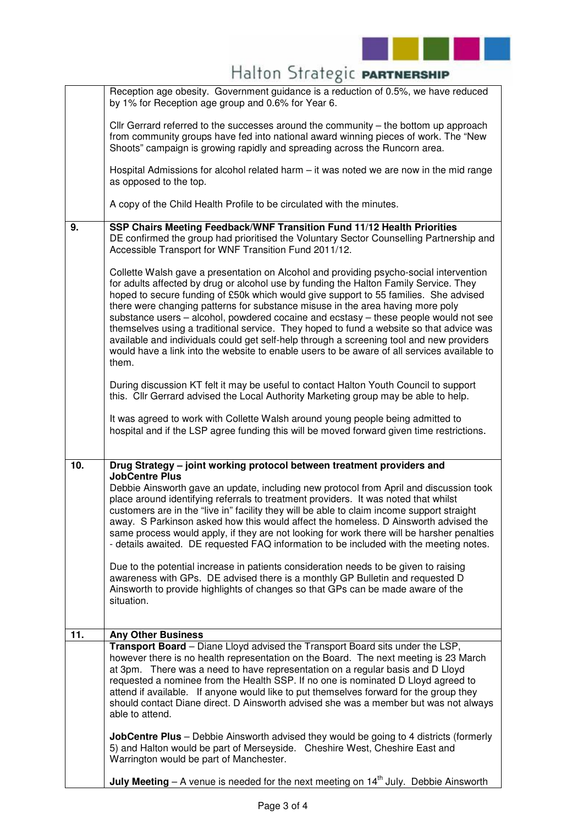

|  |  | Halton Strategic PARTNERSHIP |
|--|--|------------------------------|
|--|--|------------------------------|

|                 | Reception age obesity. Government guidance is a reduction of 0.5%, we have reduced<br>by 1% for Reception age group and 0.6% for Year 6.                                                                                                                                                                                                                                                                                                                                                                                                                                                                                                                                                                                                         |
|-----------------|--------------------------------------------------------------------------------------------------------------------------------------------------------------------------------------------------------------------------------------------------------------------------------------------------------------------------------------------------------------------------------------------------------------------------------------------------------------------------------------------------------------------------------------------------------------------------------------------------------------------------------------------------------------------------------------------------------------------------------------------------|
|                 | Cllr Gerrard referred to the successes around the community – the bottom up approach<br>from community groups have fed into national award winning pieces of work. The "New<br>Shoots" campaign is growing rapidly and spreading across the Runcorn area.                                                                                                                                                                                                                                                                                                                                                                                                                                                                                        |
|                 | Hospital Admissions for alcohol related harm – it was noted we are now in the mid range<br>as opposed to the top.                                                                                                                                                                                                                                                                                                                                                                                                                                                                                                                                                                                                                                |
|                 | A copy of the Child Health Profile to be circulated with the minutes.                                                                                                                                                                                                                                                                                                                                                                                                                                                                                                                                                                                                                                                                            |
| 9.              | SSP Chairs Meeting Feedback/WNF Transition Fund 11/12 Health Priorities<br>DE confirmed the group had prioritised the Voluntary Sector Counselling Partnership and<br>Accessible Transport for WNF Transition Fund 2011/12.                                                                                                                                                                                                                                                                                                                                                                                                                                                                                                                      |
|                 | Collette Walsh gave a presentation on Alcohol and providing psycho-social intervention<br>for adults affected by drug or alcohol use by funding the Halton Family Service. They<br>hoped to secure funding of £50k which would give support to 55 families. She advised<br>there were changing patterns for substance misuse in the area having more poly<br>substance users - alcohol, powdered cocaine and ecstasy - these people would not see<br>themselves using a traditional service. They hoped to fund a website so that advice was<br>available and individuals could get self-help through a screening tool and new providers<br>would have a link into the website to enable users to be aware of all services available to<br>them. |
|                 | During discussion KT felt it may be useful to contact Halton Youth Council to support<br>this. Cllr Gerrard advised the Local Authority Marketing group may be able to help.                                                                                                                                                                                                                                                                                                                                                                                                                                                                                                                                                                     |
|                 | It was agreed to work with Collette Walsh around young people being admitted to<br>hospital and if the LSP agree funding this will be moved forward given time restrictions.                                                                                                                                                                                                                                                                                                                                                                                                                                                                                                                                                                     |
| 10.             | Drug Strategy - joint working protocol between treatment providers and                                                                                                                                                                                                                                                                                                                                                                                                                                                                                                                                                                                                                                                                           |
|                 | <b>JobCentre Plus</b><br>Debbie Ainsworth gave an update, including new protocol from April and discussion took<br>place around identifying referrals to treatment providers. It was noted that whilst<br>customers are in the "live in" facility they will be able to claim income support straight<br>away. S Parkinson asked how this would affect the homeless. D Ainsworth advised the<br>same process would apply, if they are not looking for work there will be harsher penalties<br>- details awaited. DE requested FAQ information to be included with the meeting notes.                                                                                                                                                              |
|                 | Due to the potential increase in patients consideration needs to be given to raising<br>awareness with GPs. DE advised there is a monthly GP Bulletin and requested D<br>Ainsworth to provide highlights of changes so that GPs can be made aware of the<br>situation.                                                                                                                                                                                                                                                                                                                                                                                                                                                                           |
| $\overline{11}$ | <b>Any Other Business</b>                                                                                                                                                                                                                                                                                                                                                                                                                                                                                                                                                                                                                                                                                                                        |
|                 | Transport Board - Diane Lloyd advised the Transport Board sits under the LSP,<br>however there is no health representation on the Board. The next meeting is 23 March<br>at 3pm. There was a need to have representation on a regular basis and D Lloyd<br>requested a nominee from the Health SSP. If no one is nominated D Lloyd agreed to<br>attend if available. If anyone would like to put themselves forward for the group they<br>should contact Diane direct. D Ainsworth advised she was a member but was not always<br>able to attend.                                                                                                                                                                                                |
|                 | <b>JobCentre Plus</b> – Debbie Ainsworth advised they would be going to 4 districts (formerly<br>5) and Halton would be part of Merseyside. Cheshire West, Cheshire East and<br>Warrington would be part of Manchester.                                                                                                                                                                                                                                                                                                                                                                                                                                                                                                                          |
|                 | <b>July Meeting</b> – A venue is needed for the next meeting on $14th$ July. Debbie Ainsworth                                                                                                                                                                                                                                                                                                                                                                                                                                                                                                                                                                                                                                                    |